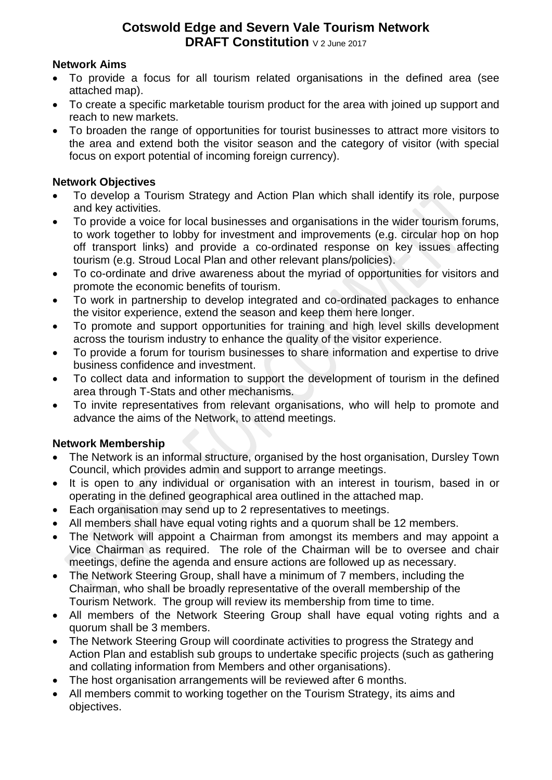# **Cotswold Edge and Severn Vale Tourism Network DRAFT Constitution** V 2 June 2017

### **Network Aims**

- To provide a focus for all tourism related organisations in the defined area (see attached map).
- To create a specific marketable tourism product for the area with joined up support and reach to new markets.
- To broaden the range of opportunities for tourist businesses to attract more visitors to the area and extend both the visitor season and the category of visitor (with special focus on export potential of incoming foreign currency).

### **Network Objectives**

- To develop a Tourism Strategy and Action Plan which shall identify its role, purpose and key activities.
- To provide a voice for local businesses and organisations in the wider tourism forums, to work together to lobby for investment and improvements (e.g. circular hop on hop off transport links) and provide a co-ordinated response on key issues affecting tourism (e.g. Stroud Local Plan and other relevant plans/policies).
- To co-ordinate and drive awareness about the myriad of opportunities for visitors and promote the economic benefits of tourism.
- To work in partnership to develop integrated and co-ordinated packages to enhance the visitor experience, extend the season and keep them here longer.
- To promote and support opportunities for training and high level skills development across the tourism industry to enhance the quality of the visitor experience.
- To provide a forum for tourism businesses to share information and expertise to drive business confidence and investment.
- To collect data and information to support the development of tourism in the defined area through T-Stats and other mechanisms.
- To invite representatives from relevant organisations, who will help to promote and advance the aims of the Network, to attend meetings.

## **Network Membership**

- The Network is an informal structure, organised by the host organisation, Dursley Town Council, which provides admin and support to arrange meetings.
- It is open to any individual or organisation with an interest in tourism, based in or operating in the defined geographical area outlined in the attached map.
- Each organisation may send up to 2 representatives to meetings.
- All members shall have equal voting rights and a quorum shall be 12 members.
- The Network will appoint a Chairman from amongst its members and may appoint a Vice Chairman as required. The role of the Chairman will be to oversee and chair meetings, define the agenda and ensure actions are followed up as necessary.
- The Network Steering Group, shall have a minimum of 7 members, including the Chairman, who shall be broadly representative of the overall membership of the Tourism Network. The group will review its membership from time to time.
- All members of the Network Steering Group shall have equal voting rights and a quorum shall be 3 members.
- The Network Steering Group will coordinate activities to progress the Strategy and Action Plan and establish sub groups to undertake specific projects (such as gathering and collating information from Members and other organisations).
- The host organisation arrangements will be reviewed after 6 months.
- All members commit to working together on the Tourism Strategy, its aims and objectives.